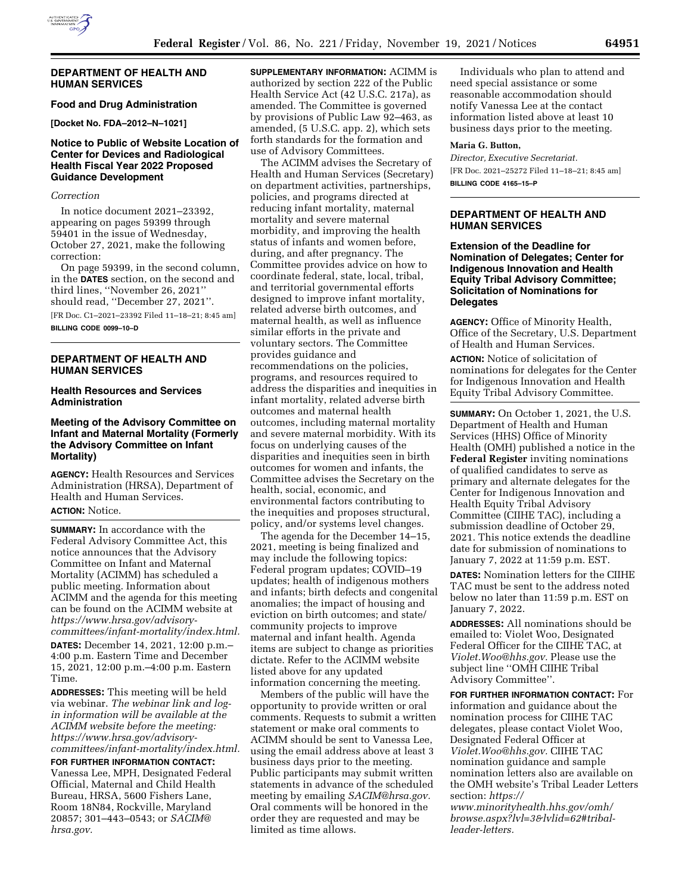

#### **DEPARTMENT OF HEALTH AND HUMAN SERVICES**

# **Food and Drug Administration**

**[Docket No. FDA–2012–N–1021]** 

## **Notice to Public of Website Location of Center for Devices and Radiological Health Fiscal Year 2022 Proposed Guidance Development**

#### *Correction*

In notice document 2021–23392, appearing on pages 59399 through 59401 in the issue of Wednesday, October 27, 2021, make the following correction:

On page 59399, in the second column, in the **DATES** section, on the second and third lines, ''November 26, 2021'' should read, ''December 27, 2021''.

[FR Doc. C1–2021–23392 Filed 11–18–21; 8:45 am] **BILLING CODE 0099–10–D** 

## **DEPARTMENT OF HEALTH AND HUMAN SERVICES**

## **Health Resources and Services Administration**

## **Meeting of the Advisory Committee on Infant and Maternal Mortality (Formerly the Advisory Committee on Infant Mortality)**

**AGENCY:** Health Resources and Services Administration (HRSA), Department of Health and Human Services.

# **ACTION:** Notice.

**SUMMARY:** In accordance with the Federal Advisory Committee Act, this notice announces that the Advisory Committee on Infant and Maternal Mortality (ACIMM) has scheduled a public meeting. Information about ACIMM and the agenda for this meeting can be found on the ACIMM website at *https://www.hrsa.gov/advisorycommittees/infant-mortality/index.html.* 

**DATES:** December 14, 2021, 12:00 p.m.– 4:00 p.m. Eastern Time and December 15, 2021, 12:00 p.m.–4:00 p.m. Eastern Time.

**ADDRESSES:** This meeting will be held via webinar. *The webinar link and login information will be available at the ACIMM website before the meeting: https://www.hrsa.gov/advisorycommittees/infant-mortality/index.html.* 

**FOR FURTHER INFORMATION CONTACT:**  Vanessa Lee, MPH, Designated Federal Official, Maternal and Child Health Bureau, HRSA, 5600 Fishers Lane, Room 18N84, Rockville, Maryland 20857; 301–443–0543; or *SACIM@ hrsa.gov.* 

**SUPPLEMENTARY INFORMATION:** ACIMM is authorized by section 222 of the Public Health Service Act (42 U.S.C. 217a), as amended. The Committee is governed by provisions of Public Law 92–463, as amended, (5 U.S.C. app. 2), which sets forth standards for the formation and use of Advisory Committees.

The ACIMM advises the Secretary of Health and Human Services (Secretary) on department activities, partnerships, policies, and programs directed at reducing infant mortality, maternal mortality and severe maternal morbidity, and improving the health status of infants and women before, during, and after pregnancy. The Committee provides advice on how to coordinate federal, state, local, tribal, and territorial governmental efforts designed to improve infant mortality, related adverse birth outcomes, and maternal health, as well as influence similar efforts in the private and voluntary sectors. The Committee provides guidance and recommendations on the policies, programs, and resources required to address the disparities and inequities in infant mortality, related adverse birth outcomes and maternal health outcomes, including maternal mortality and severe maternal morbidity. With its focus on underlying causes of the disparities and inequities seen in birth outcomes for women and infants, the Committee advises the Secretary on the health, social, economic, and environmental factors contributing to the inequities and proposes structural, policy, and/or systems level changes.

The agenda for the December 14–15, 2021, meeting is being finalized and may include the following topics: Federal program updates; COVID–19 updates; health of indigenous mothers and infants; birth defects and congenital anomalies; the impact of housing and eviction on birth outcomes; and state/ community projects to improve maternal and infant health. Agenda items are subject to change as priorities dictate. Refer to the ACIMM website listed above for any updated information concerning the meeting.

Members of the public will have the opportunity to provide written or oral comments. Requests to submit a written statement or make oral comments to ACIMM should be sent to Vanessa Lee, using the email address above at least 3 business days prior to the meeting. Public participants may submit written statements in advance of the scheduled meeting by emailing *SACIM@hrsa.gov.*  Oral comments will be honored in the order they are requested and may be limited as time allows.

Individuals who plan to attend and need special assistance or some reasonable accommodation should notify Vanessa Lee at the contact information listed above at least 10 business days prior to the meeting.

## **Maria G. Button,**

*Director, Executive Secretariat.*  [FR Doc. 2021–25272 Filed 11–18–21; 8:45 am] **BILLING CODE 4165–15–P** 

#### **DEPARTMENT OF HEALTH AND HUMAN SERVICES**

**Extension of the Deadline for Nomination of Delegates; Center for Indigenous Innovation and Health Equity Tribal Advisory Committee; Solicitation of Nominations for Delegates** 

**AGENCY:** Office of Minority Health, Office of the Secretary, U.S. Department of Health and Human Services.

**ACTION:** Notice of solicitation of nominations for delegates for the Center for Indigenous Innovation and Health Equity Tribal Advisory Committee.

**SUMMARY:** On October 1, 2021, the U.S. Department of Health and Human Services (HHS) Office of Minority Health (OMH) published a notice in the **Federal Register** inviting nominations of qualified candidates to serve as primary and alternate delegates for the Center for Indigenous Innovation and Health Equity Tribal Advisory Committee (CIIHE TAC), including a submission deadline of October 29, 2021. This notice extends the deadline date for submission of nominations to January 7, 2022 at 11:59 p.m. EST.

**DATES:** Nomination letters for the CIIHE TAC must be sent to the address noted below no later than 11:59 p.m. EST on January 7, 2022.

**ADDRESSES:** All nominations should be emailed to: Violet Woo, Designated Federal Officer for the CIIHE TAC, at *Violet.Woo@hhs.gov.* Please use the subject line ''OMH CIIHE Tribal Advisory Committee''.

**FOR FURTHER INFORMATION CONTACT:** For information and guidance about the nomination process for CIIHE TAC delegates, please contact Violet Woo, Designated Federal Officer at *Violet.Woo@hhs.gov.* CIIHE TAC nomination guidance and sample nomination letters also are available on the OMH website's Tribal Leader Letters section: *https://*

*www.minorityhealth.hhs.gov/omh/ browse.aspx?lvl=3&lvlid=62#triballeader-letters.*